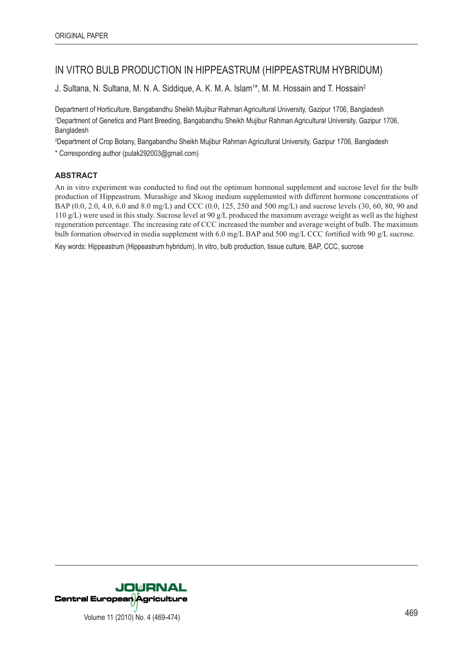# IN VITRO BULB PRODUCTION IN HIPPEASTRUM (HIPPEASTRUM HYBRIDUM)

J. Sultana, N. Sultana, M. N. A. Siddique, A. K. M. A. Islam<sup>1\*</sup>, M. M. Hossain and T. Hossain<sup>2</sup>

Department of Horticulture, Bangabandhu Sheikh Mujibur Rahman Agricultural University, Gazipur 1706, Bangladesh 1 Department of Genetics and Plant Breeding, Bangabandhu Sheikh Mujibur Rahman Agricultural University, Gazipur 1706, Bangladesh

2 Department of Crop Botany, Bangabandhu Sheikh Mujibur Rahman Agricultural University, Gazipur 1706, Bangladesh

\* Corresponding author (pulak292003@gmail.com)

# **ABSTRACT**

An in vitro experiment was conducted to find out the optimum hormonal supplement and sucrose level for the bulb production of Hippeastrum. Murashige and Skoog medium supplemented with different hormone concentrations of BAP (0.0, 2.0, 4.0, 6.0 and 8.0 mg/L) and CCC (0.0, 125, 250 and 500 mg/L) and sucrose levels (30, 60, 80, 90 and 110 g/L) were used in this study. Sucrose level at 90 g/L produced the maximum average weight as well as the highest regeneration percentage. The increasing rate of CCC increased the number and average weight of bulb. The maximum bulb formation observed in media supplement with 6.0 mg/L BAP and 500 mg/L CCC fortified with 90 g/L sucrose.

Key words: Hippeastrum (Hippeastrum hybridum), In vitro, bulb production, tissue culture, BAP, CCC, sucrose

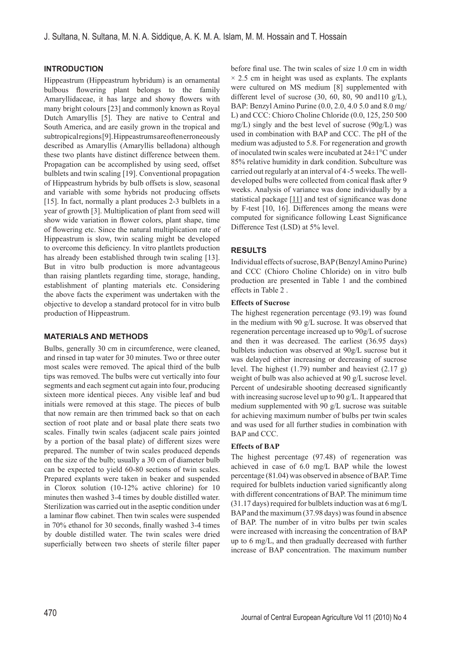# **INTRODUCTION**

Hippeastrum (Hippeastrum hybridum) is an ornamental bulbous flowering plant belongs to the family Amaryllidaceae, it has large and showy flowers with many bright colours [23] and commonly known as Royal Dutch Amaryllis [5]. They are native to Central and South America, and are easily grown in the tropical and subtropical regions [9]. Hippeastrums are often erroneously described as Amaryllis (Amaryllis belladona) although these two plants have distinct difference between them. Propagation can be accomplished by using seed, offset bulblets and twin scaling [19]. Conventional propagation of Hippeastrum hybrids by bulb offsets is slow, seasonal and variable with some hybrids not producing offsets [15]. In fact, normally a plant produces 2-3 bulblets in a year of growth [3]. Multiplication of plant from seed will show wide variation in flower colors, plant shape, time of flowering etc. Since the natural multiplication rate of Hippeastrum is slow, twin scaling might be developed to overcome this deficiency. In vitro plantlets production has already been established through twin scaling [13]. But in vitro bulb production is more advantageous than raising plantlets regarding time, storage, handing, establishment of planting materials etc. Considering the above facts the experiment was undertaken with the objective to develop a standard protocol for in vitro bulb production of Hippeastrum.

## **MATERIALS AND METHODS**

Bulbs, generally 30 cm in circumference, were cleaned, and rinsed in tap water for 30 minutes. Two or three outer most scales were removed. The apical third of the bulb tips was removed. The bulbs were cut vertically into four segments and each segment cut again into four, producing sixteen more identical pieces. Any visible leaf and bud initials were removed at this stage. The pieces of bulb that now remain are then trimmed back so that on each section of root plate and or basal plate there seats two scales. Finally twin scales (adjacent scale pairs jointed by a portion of the basal plate) of different sizes were prepared. The number of twin scales produced depends on the size of the bulb; usually a 30 cm of diameter bulb can be expected to yield 60-80 sections of twin scales. Prepared explants were taken in beaker and suspended in Clorox solution (10-12% active chlorine) for 10 minutes then washed 3-4 times by double distilled water. Sterilization was carried out in the aseptic condition under a laminar flow cabinet. Then twin scales were suspended in 70% ethanol for 30 seconds, finally washed 3-4 times by double distilled water. The twin scales were dried superficially between two sheets of sterile filter paper before final use. The twin scales of size 1.0 cm in width  $\times$  2.5 cm in height was used as explants. The explants were cultured on MS medium [8] supplemented with different level of sucrose (30, 60, 80, 90 and110 g/L), BAP: Benzyl Amino Purine (0.0, 2.0, 4.0 5.0 and 8.0 mg/ L) and CCC: Chioro Choline Chloride (0.0, 125, 250 500 mg/L) singly and the best level of sucrose (90g/L) was used in combination with BAP and CCC. The pH of the medium was adjusted to 5.8. For regeneration and growth of inoculated twin scales were incubated at 24±1°C under 85% relative humidity in dark condition. Subculture was carried out regularly at an interval of 4 -5 weeks. The welldeveloped bulbs were collected from conical flask after 9 weeks. Analysis of variance was done individually by a statistical package  $[11]$  and test of significance was done by F-test [10, 16]. Differences among the means were computed for significance following Least Significance Difference Test (LSD) at 5% level.

## **RESULTS**

Individual effects of sucrose, BAP (Benzyl Amino Purine) and CCC (Chioro Choline Chloride) on in vitro bulb production are presented in Table 1 and the combined effects in Table 2 .

# **Effects of Sucrose**

The highest regeneration percentage (93.19) was found in the medium with 90 g/L sucrose. It was observed that regeneration percentage increased up to 90g/L of sucrose and then it was decreased. The earliest (36.95 days) bulblets induction was observed at 90g/L sucrose but it was delayed either increasing or decreasing of sucrose level. The highest (1.79) number and heaviest (2.17 g) weight of bulb was also achieved at 90 g/L sucrose level. Percent of undesirable shooting decreased significantly with increasing sucrose level up to 90 g/L. It appeared that medium supplemented with 90 g/L sucrose was suitable for achieving maximum number of bulbs per twin scales and was used for all further studies in combination with BAP and CCC.

#### **Effects of BAP**

The highest percentage (97.48) of regeneration was achieved in case of 6.0 mg/L BAP while the lowest percentage (81.04) was observed in absence of BAP. Time required for bulblets induction varied significantly along with different concentrations of BAP. The minimum time (31.17 days) required for bulblets induction was at 6 mg/L BAP and the maximum (37.98 days) was found in absence of BAP. The number of in vitro bulbs per twin scales were increased with increasing the concentration of BAP up to 6 mg/L, and then gradually decreased with further increase of BAP concentration. The maximum number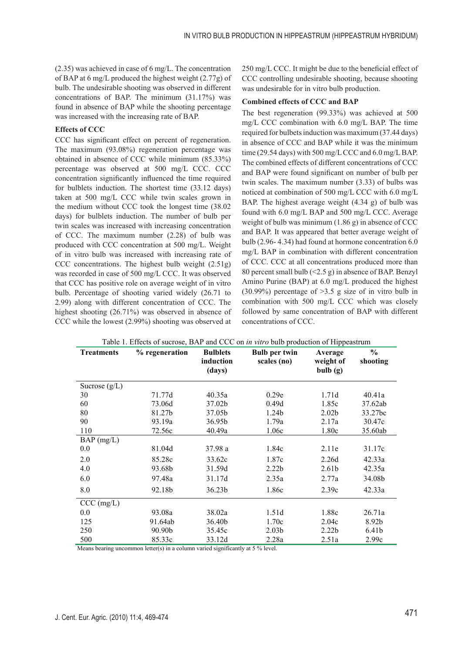(2.35) was achieved in case of 6 mg/L. The concentration of BAP at 6 mg/L produced the highest weight (2.77g) of bulb. The undesirable shooting was observed in different concentrations of BAP. The minimum (31.17%) was found in absence of BAP while the shooting percentage was increased with the increasing rate of BAP.

## **Effects of CCC**

CCC has significant effect on percent of regeneration. The maximum (93.08%) regeneration percentage was obtained in absence of CCC while minimum (85.33%) percentage was observed at 500 mg/L CCC. CCC concentration significantly influenced the time required for bulblets induction. The shortest time (33.12 days) taken at 500 mg/L CCC while twin scales grown in the medium without CCC took the longest time (38.02 days) for bulblets induction. The number of bulb per twin scales was increased with increasing concentration of CCC. The maximum number (2.28) of bulb was produced with CCC concentration at 500 mg/L. Weight of in vitro bulb was increased with increasing rate of CCC concentrations. The highest bulb weight (2.51g) was recorded in case of 500 mg/L CCC. It was observed that CCC has positive role on average weight of in vitro bulb. Percentage of shooting varied widely (26.71 to 2.99) along with different concentration of CCC. The highest shooting (26.71%) was observed in absence of CCC while the lowest (2.99%) shooting was observed at

250 mg/L CCC. It might be due to the beneficial effect of CCC controlling undesirable shooting, because shooting was undesirable for in vitro bulb production.

#### **Combined effects of CCC and BAP**

The best regeneration (99.33%) was achieved at 500 mg/L CCC combination with 6.0 mg/L BAP. The time required for bulbets induction was maximum (37.44 days) in absence of CCC and BAP while it was the minimum time (29.54 days) with 500 mg/L CCC and 6.0 mg/L BAP. The combined effects of different concentrations of CCC and BAP were found significant on number of bulb per twin scales. The maximum number (3.33) of bulbs was noticed at combination of 500 mg/L CCC with 6.0 mg/L BAP. The highest average weight (4.34 g) of bulb was found with 6.0 mg/L BAP and 500 mg/L CCC. Average weight of bulb was minimum (1.86 g) in absence of CCC and BAP. It was appeared that better average weight of bulb (2.96- 4.34) had found at hormone concentration 6.0 mg/L BAP in combination with different concentration of CCC. CCC at all concentrations produced more than 80 percent small bulb (<2.5 g) in absence of BAP. Benzyl Amino Purine (BAP) at 6.0 mg/L produced the highest (30.99%) percentage of >3.5 g size of in vitro bulb in combination with 500 mg/L CCC which was closely followed by same concentration of BAP with different concentrations of CCC.

| <b>Treatments</b> | raone r. Encels of sucrose, Dryr and CCC on <i>in vin</i> o outo production or hippeasu and<br>% regeneration | <b>Bulblets</b>    | <b>Bulb per twin</b> | Average           | $\frac{0}{0}$ |
|-------------------|---------------------------------------------------------------------------------------------------------------|--------------------|----------------------|-------------------|---------------|
|                   |                                                                                                               | induction          | scales (no)          | weight of         | shooting      |
|                   |                                                                                                               | (days)             |                      | bulb(g)           |               |
| Sucrose $(g/L)$   |                                                                                                               |                    |                      |                   |               |
| 30                | 71.77d                                                                                                        | 40.35a             | 0.29e                | 1.71d             | 40.41a        |
| 60                | 73.06d                                                                                                        | 37.02b             | 0.49d                | 1.85c             | 37.62ab       |
| 80                | 81.27b                                                                                                        | 37.05b             | 1.24b                | 2.02 <sub>b</sub> | 33.27bc       |
| 90                | 93.19a                                                                                                        | 36.95b             | 1.79a                | 2.17a             | 30.47c        |
| 110               | 72.56c                                                                                                        | 40.49a             | 1.06c                | 1.80c             | 35.60ab       |
| $BAP$ (mg/L)      |                                                                                                               |                    |                      |                   |               |
| 0.0               | 81.04d                                                                                                        | 37.98 a            | 1.84c                | 2.11e             | 31.17c        |
| 2.0               | 85.28c                                                                                                        | 33.62c             | 1.87c                | 2.26d             | 42.33a        |
| 4.0               | 93.68b                                                                                                        | 31.59d             | 2.22 <sub>b</sub>    | 2.61 <sub>b</sub> | 42.35a        |
| 6.0               | 97.48a                                                                                                        | 31.17d             | 2.35a                | 2.77a             | 34.08b        |
| 8.0               | 92.18b                                                                                                        | 36.23 <sub>b</sub> | 1.86c                | 2.39c             | 42.33a        |
| CCC (mg/L)        |                                                                                                               |                    |                      |                   |               |
| 0.0               | 93.08a                                                                                                        | 38.02a             | 1.51d                | 1.88c             | 26.71a        |
| 125               | 91.64ab                                                                                                       | 36.40b             | 1.70c                | 2.04c             | 8.92b         |
| 250               | 90.90b                                                                                                        | 35.45c             | 2.03 <sub>b</sub>    | 2.22 <sub>b</sub> | 6.41b         |
| 500               | 85.33c                                                                                                        | 33.12d             | 2.28a                | 2.51a             | 2.99c         |

Table 1. Effects of sucrose, BAP and CCC on *in vitro* bulb production of Hippeastrum

Means bearing uncommon letter(s) in a column varied significantly at 5 % level.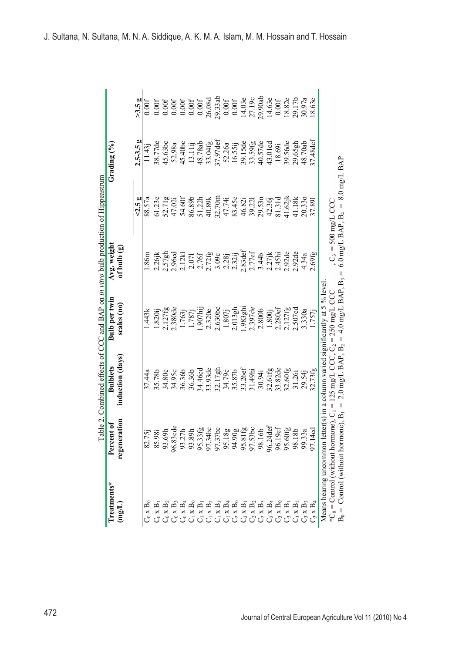|                                                                                              | ᡛ                                      | able 2. Combined effects of CCC and BAP on in vitro bulb production of Hippeastrum |                                                                         |                              |                                    |               |         |
|----------------------------------------------------------------------------------------------|----------------------------------------|------------------------------------------------------------------------------------|-------------------------------------------------------------------------|------------------------------|------------------------------------|---------------|---------|
| Treatments*<br>$(\text{mg/L})$                                                               | regeneration<br>Percent of             | induction (days)<br><b>Bulblets</b>                                                | Bulb per twin<br>scales (no)                                            | Avg. weight<br>of bulb $(g)$ |                                    | Grading $(%)$ |         |
|                                                                                              |                                        |                                                                                    |                                                                         |                              | 5.5g                               | $2.5 - 3.5 g$ | >3.5g   |
| $C_0 \times B_0$                                                                             |                                        | 37.44a                                                                             | .443k                                                                   | 1.86m                        | 88.57a                             | $11.43$ j     | 0.00f   |
|                                                                                              | 82.75j<br>85.98i                       | 35.78b                                                                             | .820i                                                                   | $2.26$ jk                    | 61.23e                             | 38.77de       | 0.00f   |
| $\begin{array}{c} C_0\ge B_1\\ C_0\ge B_2 \end{array}$                                       | 93.69h                                 | 34.80c                                                                             | 2.127fg                                                                 | $2.57$ gh                    | 52.71g                             | 45.63bc       | 0.00f   |
| $\mathbf{C}_0$ x $\mathbf{B}_3$                                                              | 96.83cde                               | 34.95c                                                                             | $2.380$ de                                                              | 2.96cd                       | 47.02i                             | 52.98a        | 0.00f   |
| $C_0 \times B_4$                                                                             | 93.27h                                 | 36.36b                                                                             | 1.763                                                                   | 2.12k                        | 54.60f                             | 45.40bc       | 0.00f   |
| $C_1 \times B_0$                                                                             | 9h<br>93.8                             | 36.36b                                                                             | 1.787j                                                                  | 2.071                        | 86.89b                             | 13.11ij       | 0.00f   |
|                                                                                              | 95.33fg<br>97.34bc<br>97.37bc          | 34.46cd                                                                            | $1.907$ hij                                                             | 2.76f                        | 51.22h                             | 48.78ab       | 0.00f   |
| $\begin{array}{c} C_1 \times B_1 \\ C_1 \times B_2 \end{array}$                              |                                        | 33.93de                                                                            | 2.320e                                                                  | 2.72fg                       | 40.89k                             | 33.04fg       | 26.08d  |
|                                                                                              |                                        | 32.17gh                                                                            | 2.630bc                                                                 | 3.09c                        | 32.70m                             | 37.97def      | 29.33ab |
| $\begin{array}{cccc}\nC & x & B_3 \\ C & x & B_4 \\ C & X & B_0 \\ C & X & B_1\n\end{array}$ |                                        | 34.79c                                                                             | 1.807j                                                                  | 2.28j                        | 47.74i                             | 52.26a        | 0.00f   |
|                                                                                              |                                        | 35.87b                                                                             | $2.013$ gh                                                              | 2.32ij                       | 83.45c                             | 16.55ij       | 0.00f   |
|                                                                                              | 95.18g<br>94.90g<br>95.81fg<br>97.53bc | 33.26ef                                                                            | 1.983ghi                                                                | $2.83$ def                   | 46.82i                             | 39.15de       | 14.03e  |
| $\mathop{\rm C{}}\nolimits_2$ x B <sub>2</sub>                                               |                                        | 31.49hi                                                                            | 2.397de                                                                 | 2.77ef                       | 39.221                             | 33.59fg       | 27.19c  |
|                                                                                              | 6 <sup>o</sup><br>98.1                 | 30.94i                                                                             | 2.800b                                                                  | 3.44b                        | 29.53n                             | 40.57de       | 29.90ab |
| $\mathop{\rm C}_2$ x B <sub>4</sub> $\mathop{\rm C}_3$ x B <sub>0</sub>                      | 96.24 def                              | 32.61fg                                                                            | 1.800j                                                                  | $2.27$ jk                    | 42.36j                             | 43.01cd       | 14.63e  |
|                                                                                              | 96.19ef                                | 33.82de                                                                            | 2.280ef                                                                 | 2.45hi                       | 81.31d                             | 18.69i        | 0.00f   |
| $C_3 \times B_1$                                                                             | 95.60fg<br>98.18b                      | 32.60fg                                                                            | 2.127fg                                                                 | 2.92de                       | $41.62$ jk                         | 39.56de       | 18.82e  |
| $\mathbf{C}_3$ x $\mathbf{B}_2$                                                              |                                        | 31.26i                                                                             | 2.507cd                                                                 | 2.92de                       | 41.18k                             | 29.65gh       | 29.17b  |
| $C_3 \times B_3$                                                                             | $\mathfrak{S}^{\mathfrak{a}}$<br>99.3  | 29.54j                                                                             | 3.330a                                                                  | 4.34a                        | 20.330                             | 48.70ab       | 30.97a  |
| $\mathrm{C}_3 \times \mathrm{B}_4$                                                           | ರ<br>4<br>97.1                         | 32.73fg                                                                            | 1.757j                                                                  | 2.69fg                       | 37.891                             | 37.48def      | 18.63e  |
|                                                                                              |                                        | Means bearing uncommon letter(s) in a column varied significantly at 5 % level     |                                                                         |                              |                                    |               |         |
| $*C_0 = Control$ (without horm                                                               | $none$ ), $C_1 =$                      |                                                                                    | 125 mg/L CCC, $C_2 = 250$ mg/L CCC                                      | , $C_3 = 500$ mg/L CCC       |                                    |               |         |
| $B_0 =$ Control (without horm                                                                | $one$ , $B_1$ =                        |                                                                                    | $2.0 \text{ mg/L}$ BAP, B <sub>2</sub> = 4.0 mg/L BAP, B <sub>3</sub> = |                              | 6.0 mg/L BAP, $B_4 = 8.0$ mg/L BAP |               |         |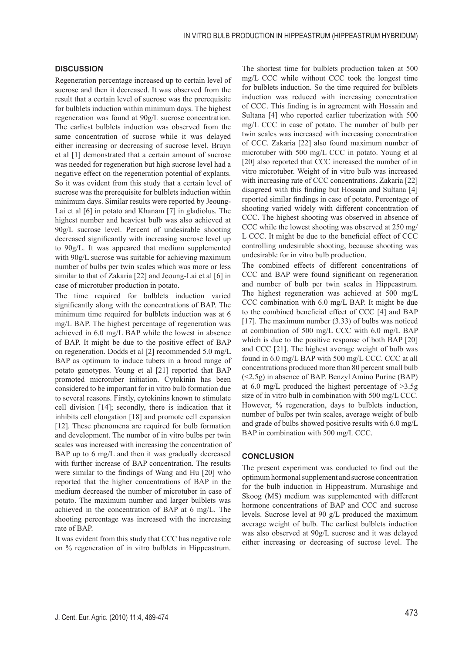#### **DISCUSSION**

Regeneration percentage increased up to certain level of sucrose and then it decreased. It was observed from the result that a certain level of sucrose was the prerequisite for bulblets induction within minimum days. The highest regeneration was found at 90g/L sucrose concentration. The earliest bulblets induction was observed from the same concentration of sucrose while it was delayed either increasing or decreasing of sucrose level. Bruyn et al [1] demonstrated that a certain amount of sucrose was needed for regeneration but high sucrose level had a negative effect on the regeneration potential of explants. So it was evident from this study that a certain level of sucrose was the prerequisite for bulblets induction within minimum days. Similar results were reported by Jeoung-Lai et al [6] in potato and Khanam [7] in gladiolus. The highest number and heaviest bulb was also achieved at 90g/L sucrose level. Percent of undesirable shooting decreased significantly with increasing sucrose level up to 90g/L. It was appeared that medium supplemented with 90g/L sucrose was suitable for achieving maximum number of bulbs per twin scales which was more or less similar to that of Zakaria [22] and Jeoung-Lai et al [6] in case of microtuber production in potato.

The time required for bulblets induction varied significantly along with the concentrations of BAP. The minimum time required for bulblets induction was at 6 mg/L BAP. The highest percentage of regeneration was achieved in 6.0 mg/L BAP while the lowest in absence of BAP. It might be due to the positive effect of BAP on regeneration. Dodds et al [2] recommended 5.0 mg/L BAP as optimum to induce tubers in a broad range of potato genotypes. Young et al [21] reported that BAP promoted microtuber initiation. Cytokinin has been considered to be important for in vitro bulb formation due to several reasons. Firstly, cytokinins known to stimulate cell division [14]; secondly, there is indication that it inhibits cell elongation [18] and promote cell expansion [12]. These phenomena are required for bulb formation and development. The number of in vitro bulbs per twin scales was increased with increasing the concentration of BAP up to 6 mg/L and then it was gradually decreased with further increase of BAP concentration. The results were similar to the findings of Wang and Hu [20] who reported that the higher concentrations of BAP in the medium decreased the number of microtuber in case of potato. The maximum number and larger bulblets was achieved in the concentration of BAP at 6 mg/L. The shooting percentage was increased with the increasing rate of BAP.

It was evident from this study that CCC has negative role on % regeneration of in vitro bulblets in Hippeastrum. The shortest time for bulblets production taken at 500 mg/L CCC while without CCC took the longest time for bulblets induction. So the time required for bulblets induction was reduced with increasing concentration of CCC. This finding is in agreement with Hossain and Sultana [4] who reported earlier tuberization with 500 mg/L CCC in case of potato. The number of bulb per twin scales was increased with increasing concentration of CCC. Zakaria [22] also found maximum number of microtuber with 500 mg/L CCC in potato. Young et al [20] also reported that CCC increased the number of in vitro microtuber. Weight of in vitro bulb was increased with increasing rate of CCC concentrations. Zakaria [22] disagreed with this finding but Hossain and Sultana [4] reported similar findings in case of potato. Percentage of shooting varied widely with different concentration of CCC. The highest shooting was observed in absence of CCC while the lowest shooting was observed at 250 mg/ L CCC. It might be due to the beneficial effect of CCC controlling undesirable shooting, because shooting was undesirable for in vitro bulb production.

The combined effects of different concentrations of CCC and BAP were found significant on regeneration and number of bulb per twin scales in Hippeastrum. The highest regeneration was achieved at 500 mg/L CCC combination with 6.0 mg/L BAP. It might be due to the combined beneficial effect of CCC [4] and BAP [17]. The maximum number (3.33) of bulbs was noticed at combination of 500 mg/L CCC with 6.0 mg/L BAP which is due to the positive response of both BAP [20] and CCC [21]. The highest average weight of bulb was found in 6.0 mg/L BAP with 500 mg/L CCC. CCC at all concentrations produced more than 80 percent small bulb (<2.5g) in absence of BAP. Benzyl Amino Purine (BAP) at 6.0 mg/L produced the highest percentage of >3.5g size of in vitro bulb in combination with 500 mg/L CCC. However, % regeneration, days to bulblets induction, number of bulbs per twin scales, average weight of bulb and grade of bulbs showed positive results with 6.0 mg/L BAP in combination with 500 mg/L CCC.

#### **CONCLUSION**

The present experiment was conducted to find out the optimum hormonal supplement and sucrose concentration for the bulb induction in Hippeastrum. Murashige and Skoog (MS) medium was supplemented with different hormone concentrations of BAP and CCC and sucrose levels. Sucrose level at 90 g/L produced the maximum average weight of bulb. The earliest bulblets induction was also observed at 90g/L sucrose and it was delayed either increasing or decreasing of sucrose level. The